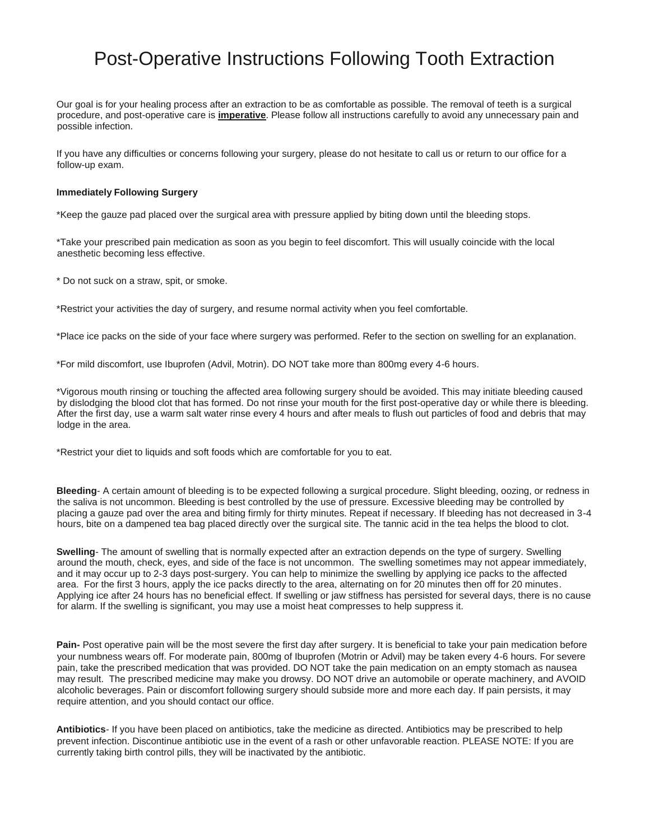## Post-Operative Instructions Following Tooth Extraction

Our goal is for your healing process after an extraction to be as comfortable as possible. The removal of teeth is a surgical procedure, and post-operative care is **imperative**. Please follow all instructions carefully to avoid any unnecessary pain and possible infection.

If you have any difficulties or concerns following your surgery, please do not hesitate to call us or return to our office for a follow-up exam.

## **Immediately Following Surgery**

\*Keep the gauze pad placed over the surgical area with pressure applied by biting down until the bleeding stops.

\*Take your prescribed pain medication as soon as you begin to feel discomfort. This will usually coincide with the local anesthetic becoming less effective.

\* Do not suck on a straw, spit, or smoke.

\*Restrict your activities the day of surgery, and resume normal activity when you feel comfortable.

\*Place ice packs on the side of your face where surgery was performed. Refer to the section on swelling for an explanation.

\*For mild discomfort, use Ibuprofen (Advil, Motrin). DO NOT take more than 800mg every 4-6 hours.

\*Vigorous mouth rinsing or touching the affected area following surgery should be avoided. This may initiate bleeding caused by dislodging the blood clot that has formed. Do not rinse your mouth for the first post-operative day or while there is bleeding. After the first day, use a warm salt water rinse every 4 hours and after meals to flush out particles of food and debris that may lodge in the area.

\*Restrict your diet to liquids and soft foods which are comfortable for you to eat.

**Bleeding**- A certain amount of bleeding is to be expected following a surgical procedure. Slight bleeding, oozing, or redness in the saliva is not uncommon. Bleeding is best controlled by the use of pressure. Excessive bleeding may be controlled by placing a gauze pad over the area and biting firmly for thirty minutes. Repeat if necessary. If bleeding has not decreased in 3-4 hours, bite on a dampened tea bag placed directly over the surgical site. The tannic acid in the tea helps the blood to clot.

**Swelling**- The amount of swelling that is normally expected after an extraction depends on the type of surgery. Swelling around the mouth, check, eyes, and side of the face is not uncommon. The swelling sometimes may not appear immediately, and it may occur up to 2-3 days post-surgery. You can help to minimize the swelling by applying ice packs to the affected area. For the first 3 hours, apply the ice packs directly to the area, alternating on for 20 minutes then off for 20 minutes. Applying ice after 24 hours has no beneficial effect. If swelling or jaw stiffness has persisted for several days, there is no cause for alarm. If the swelling is significant, you may use a moist heat compresses to help suppress it.

**Pain***-* Post operative pain will be the most severe the first day after surgery. It is beneficial to take your pain medication before your numbness wears off. For moderate pain, 800mg of Ibuprofen (Motrin or Advil) may be taken every 4-6 hours. For severe pain, take the prescribed medication that was provided. DO NOT take the pain medication on an empty stomach as nausea may result. The prescribed medicine may make you drowsy. DO NOT drive an automobile or operate machinery, and AVOID alcoholic beverages. Pain or discomfort following surgery should subside more and more each day. If pain persists, it may require attention, and you should contact our office.

**Antibiotics**- If you have been placed on antibiotics, take the medicine as directed. Antibiotics may be prescribed to help prevent infection. Discontinue antibiotic use in the event of a rash or other unfavorable reaction. PLEASE NOTE: If you are currently taking birth control pills, they will be inactivated by the antibiotic.